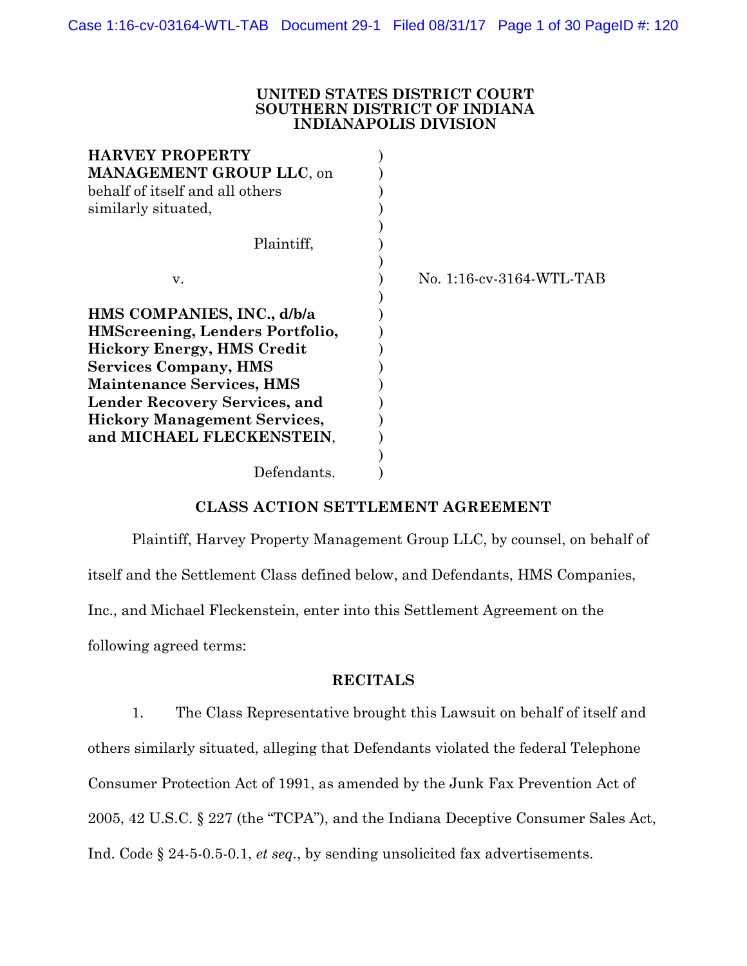#### **UNITED STATES DISTRICT COURT SOUTHERN DISTRICT OF INDIANA INDIANAPOLIS DIVISION**

| No. 1:16-cv-3164-WTL-TAB |
|--------------------------|
|                          |
|                          |
|                          |
|                          |
|                          |
|                          |
|                          |
|                          |
|                          |
|                          |
|                          |
|                          |

# **CLASS ACTION SETTLEMENT AGREEMENT**

Plaintiff, Harvey Property Management Group LLC, by counsel, on behalf of itself and the Settlement Class defined below, and Defendants, HMS Companies, Inc., and Michael Fleckenstein, enter into this Settlement Agreement on the following agreed terms:

# **RECITALS**

1. The Class Representative brought this Lawsuit on behalf of itself and others similarly situated, alleging that Defendants violated the federal Telephone Consumer Protection Act of 1991, as amended by the Junk Fax Prevention Act of 2005, 42 U.S.C. § 227 (the "TCPA"), and the Indiana Deceptive Consumer Sales Act, Ind. Code § 24-5-0.5-0.1, *et seq.*, by sending unsolicited fax advertisements.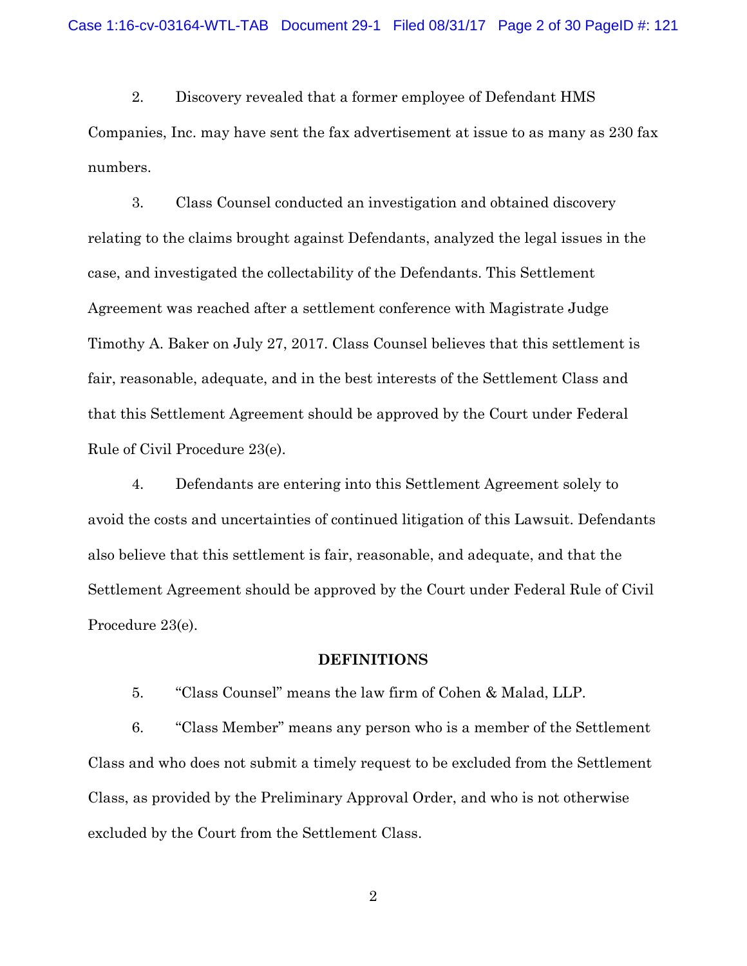2. Discovery revealed that a former employee of Defendant HMS Companies, Inc. may have sent the fax advertisement at issue to as many as 230 fax numbers.

3. Class Counsel conducted an investigation and obtained discovery relating to the claims brought against Defendants, analyzed the legal issues in the case, and investigated the collectability of the Defendants. This Settlement Agreement was reached after a settlement conference with Magistrate Judge Timothy A. Baker on July 27, 2017. Class Counsel believes that this settlement is fair, reasonable, adequate, and in the best interests of the Settlement Class and that this Settlement Agreement should be approved by the Court under Federal Rule of Civil Procedure 23(e).

4. Defendants are entering into this Settlement Agreement solely to avoid the costs and uncertainties of continued litigation of this Lawsuit. Defendants also believe that this settlement is fair, reasonable, and adequate, and that the Settlement Agreement should be approved by the Court under Federal Rule of Civil Procedure 23(e).

### **DEFINITIONS**

5. "Class Counsel" means the law firm of Cohen & Malad, LLP.

6. "Class Member" means any person who is a member of the Settlement Class and who does not submit a timely request to be excluded from the Settlement Class, as provided by the Preliminary Approval Order, and who is not otherwise excluded by the Court from the Settlement Class.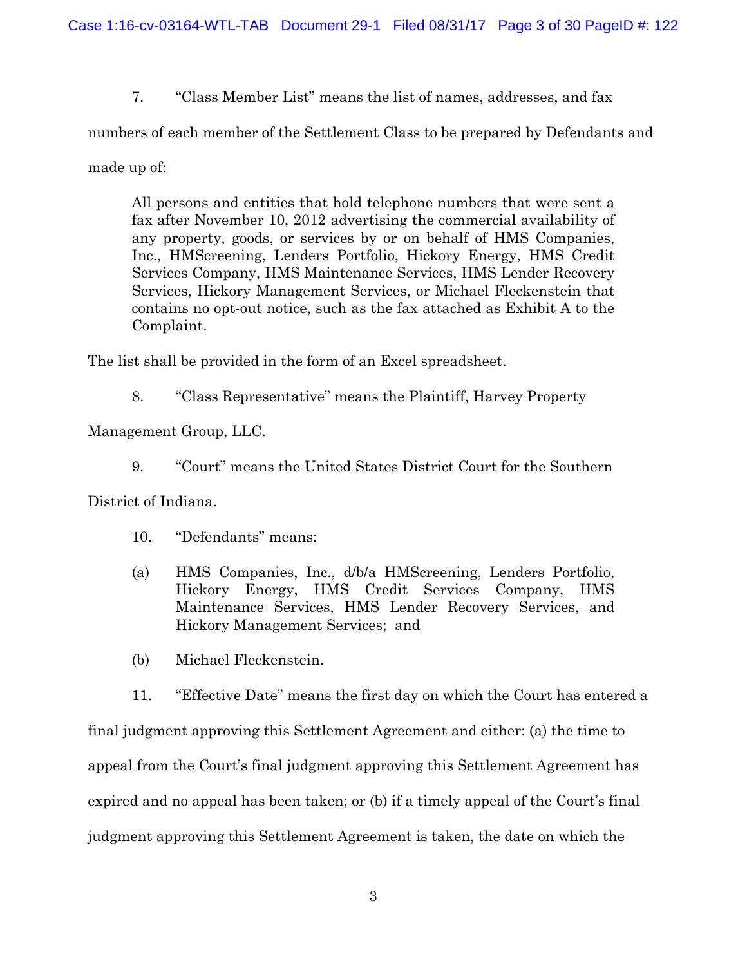7. "Class Member List" means the list of names, addresses, and fax

numbers of each member of the Settlement Class to be prepared by Defendants and

made up of:

All persons and entities that hold telephone numbers that were sent a fax after November 10, 2012 advertising the commercial availability of any property, goods, or services by or on behalf of HMS Companies, Inc., HMScreening, Lenders Portfolio, Hickory Energy, HMS Credit Services Company, HMS Maintenance Services, HMS Lender Recovery Services, Hickory Management Services, or Michael Fleckenstein that contains no opt-out notice, such as the fax attached as Exhibit A to the Complaint.

The list shall be provided in the form of an Excel spreadsheet.

8. "Class Representative" means the Plaintiff, Harvey Property

Management Group, LLC.

9. "Court" means the United States District Court for the Southern

District of Indiana.

- 10. "Defendants" means:
- (a) HMS Companies, Inc., d/b/a HMScreening, Lenders Portfolio, Hickory Energy, HMS Credit Services Company, HMS Maintenance Services, HMS Lender Recovery Services, and Hickory Management Services; and
- (b) Michael Fleckenstein.

11. "Effective Date" means the first day on which the Court has entered a final judgment approving this Settlement Agreement and either: (a) the time to appeal from the Court's final judgment approving this Settlement Agreement has expired and no appeal has been taken; or (b) if a timely appeal of the Court's final judgment approving this Settlement Agreement is taken, the date on which the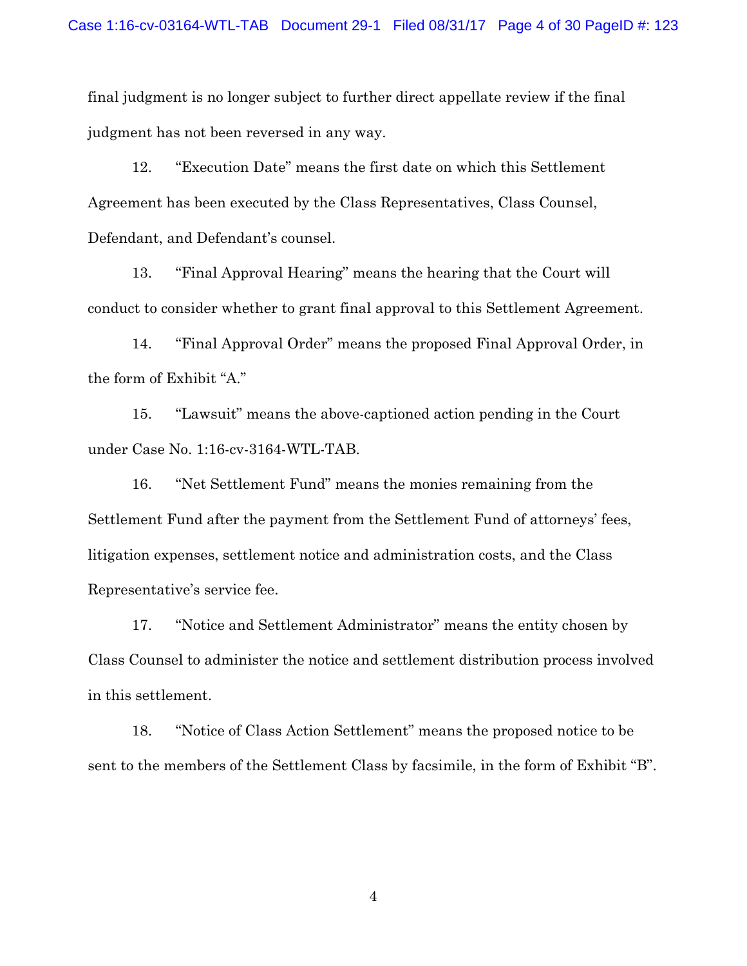final judgment is no longer subject to further direct appellate review if the final judgment has not been reversed in any way.

12. "Execution Date" means the first date on which this Settlement Agreement has been executed by the Class Representatives, Class Counsel, Defendant, and Defendant's counsel.

13. "Final Approval Hearing" means the hearing that the Court will conduct to consider whether to grant final approval to this Settlement Agreement.

14. "Final Approval Order" means the proposed Final Approval Order, in the form of Exhibit "A."

15. "Lawsuit" means the above-captioned action pending in the Court under Case No. 1:16-cv-3164-WTL-TAB.

16. "Net Settlement Fund" means the monies remaining from the Settlement Fund after the payment from the Settlement Fund of attorneys' fees, litigation expenses, settlement notice and administration costs, and the Class Representative's service fee.

17. "Notice and Settlement Administrator" means the entity chosen by Class Counsel to administer the notice and settlement distribution process involved in this settlement.

18. "Notice of Class Action Settlement" means the proposed notice to be sent to the members of the Settlement Class by facsimile, in the form of Exhibit "B".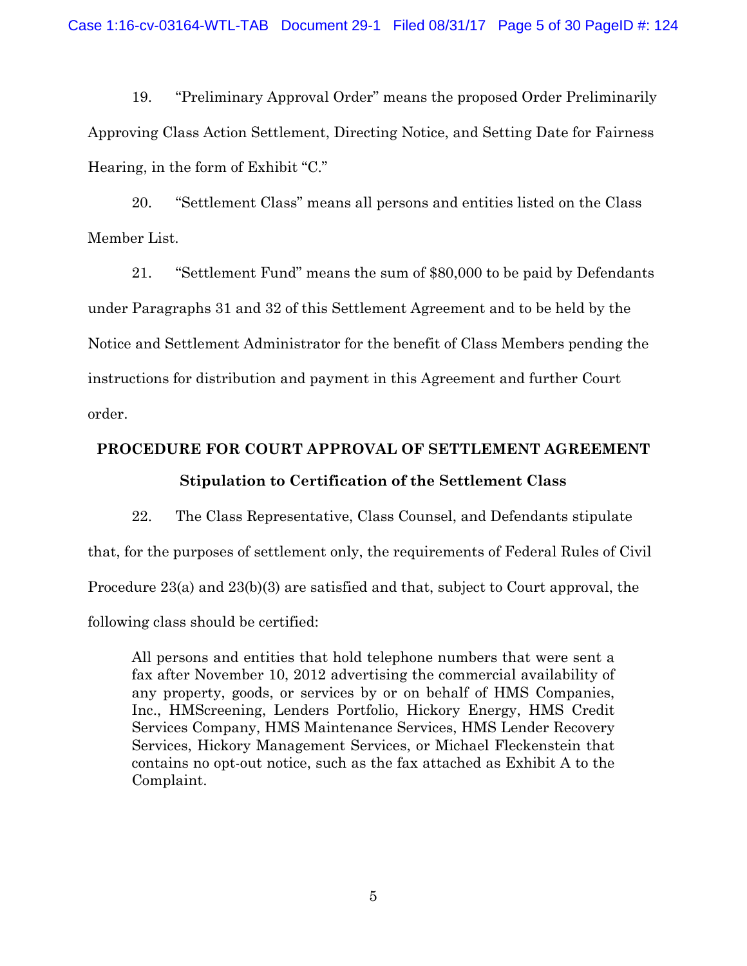19. "Preliminary Approval Order" means the proposed Order Preliminarily Approving Class Action Settlement, Directing Notice, and Setting Date for Fairness Hearing, in the form of Exhibit "C."

20. "Settlement Class" means all persons and entities listed on the Class Member List.

21. "Settlement Fund" means the sum of \$80,000 to be paid by Defendants under Paragraphs 31 and 32 of this Settlement Agreement and to be held by the Notice and Settlement Administrator for the benefit of Class Members pending the instructions for distribution and payment in this Agreement and further Court order.

# **PROCEDURE FOR COURT APPROVAL OF SETTLEMENT AGREEMENT Stipulation to Certification of the Settlement Class**

22. The Class Representative, Class Counsel, and Defendants stipulate that, for the purposes of settlement only, the requirements of Federal Rules of Civil Procedure 23(a) and 23(b)(3) are satisfied and that, subject to Court approval, the following class should be certified:

All persons and entities that hold telephone numbers that were sent a fax after November 10, 2012 advertising the commercial availability of any property, goods, or services by or on behalf of HMS Companies, Inc., HMScreening, Lenders Portfolio, Hickory Energy, HMS Credit Services Company, HMS Maintenance Services, HMS Lender Recovery Services, Hickory Management Services, or Michael Fleckenstein that contains no opt-out notice, such as the fax attached as Exhibit A to the Complaint.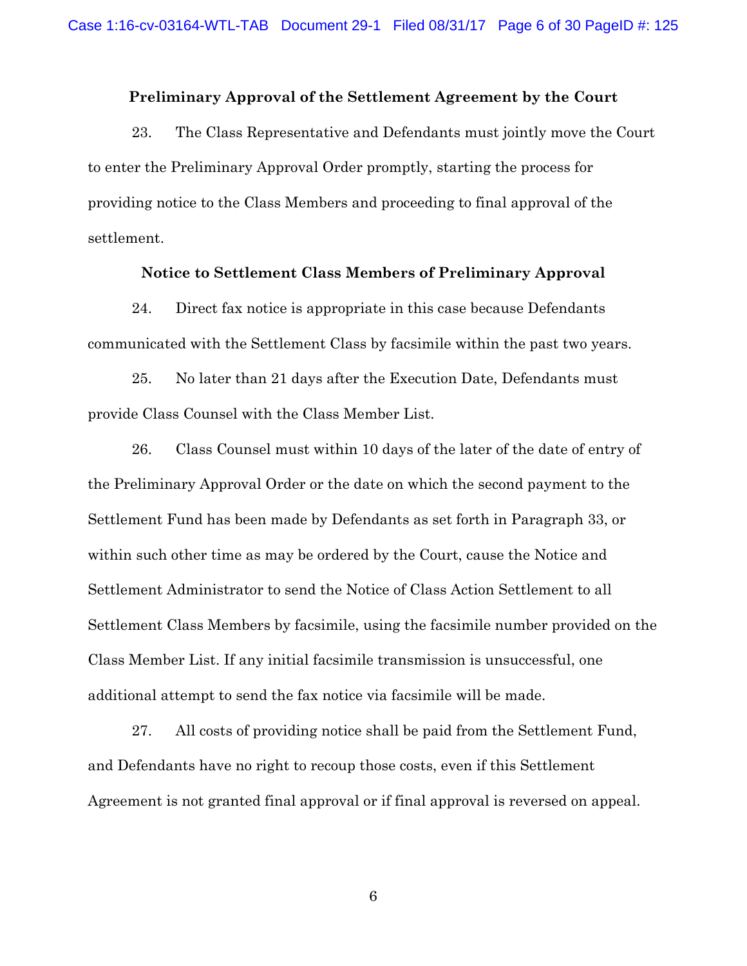#### **Preliminary Approval of the Settlement Agreement by the Court**

23. The Class Representative and Defendants must jointly move the Court to enter the Preliminary Approval Order promptly, starting the process for providing notice to the Class Members and proceeding to final approval of the settlement.

#### **Notice to Settlement Class Members of Preliminary Approval**

24. Direct fax notice is appropriate in this case because Defendants communicated with the Settlement Class by facsimile within the past two years.

25. No later than 21 days after the Execution Date, Defendants must provide Class Counsel with the Class Member List.

26. Class Counsel must within 10 days of the later of the date of entry of the Preliminary Approval Order or the date on which the second payment to the Settlement Fund has been made by Defendants as set forth in Paragraph 33, or within such other time as may be ordered by the Court, cause the Notice and Settlement Administrator to send the Notice of Class Action Settlement to all Settlement Class Members by facsimile, using the facsimile number provided on the Class Member List. If any initial facsimile transmission is unsuccessful, one additional attempt to send the fax notice via facsimile will be made.

27. All costs of providing notice shall be paid from the Settlement Fund, and Defendants have no right to recoup those costs, even if this Settlement Agreement is not granted final approval or if final approval is reversed on appeal.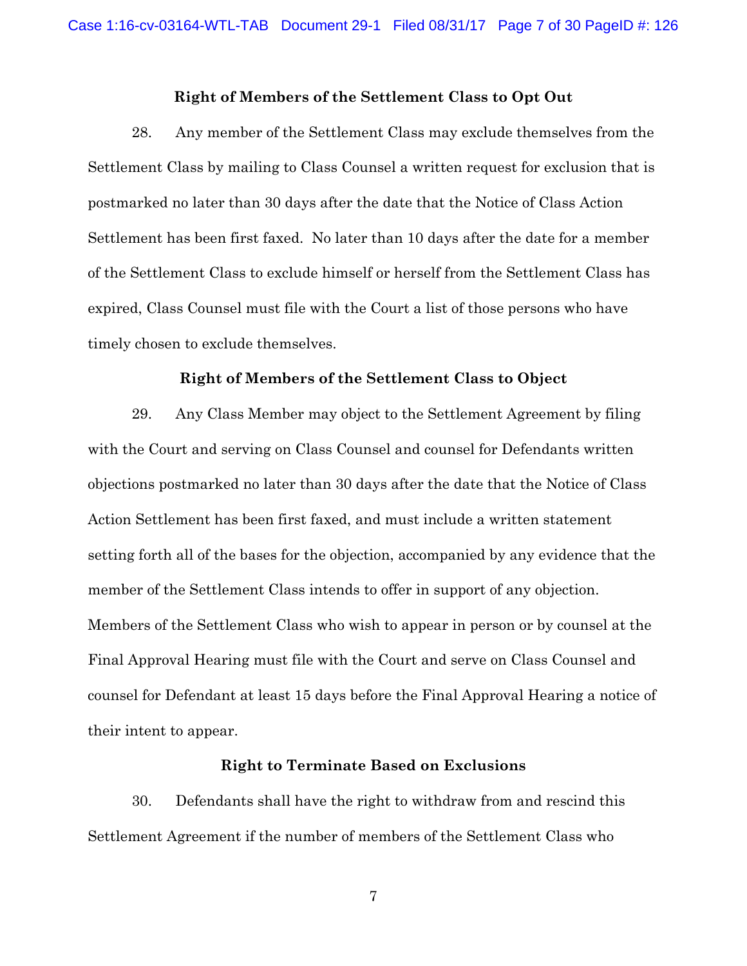#### **Right of Members of the Settlement Class to Opt Out**

28. Any member of the Settlement Class may exclude themselves from the Settlement Class by mailing to Class Counsel a written request for exclusion that is postmarked no later than 30 days after the date that the Notice of Class Action Settlement has been first faxed. No later than 10 days after the date for a member of the Settlement Class to exclude himself or herself from the Settlement Class has expired, Class Counsel must file with the Court a list of those persons who have timely chosen to exclude themselves.

#### **Right of Members of the Settlement Class to Object**

29. Any Class Member may object to the Settlement Agreement by filing with the Court and serving on Class Counsel and counsel for Defendants written objections postmarked no later than 30 days after the date that the Notice of Class Action Settlement has been first faxed, and must include a written statement setting forth all of the bases for the objection, accompanied by any evidence that the member of the Settlement Class intends to offer in support of any objection. Members of the Settlement Class who wish to appear in person or by counsel at the Final Approval Hearing must file with the Court and serve on Class Counsel and counsel for Defendant at least 15 days before the Final Approval Hearing a notice of their intent to appear.

#### **Right to Terminate Based on Exclusions**

30. Defendants shall have the right to withdraw from and rescind this Settlement Agreement if the number of members of the Settlement Class who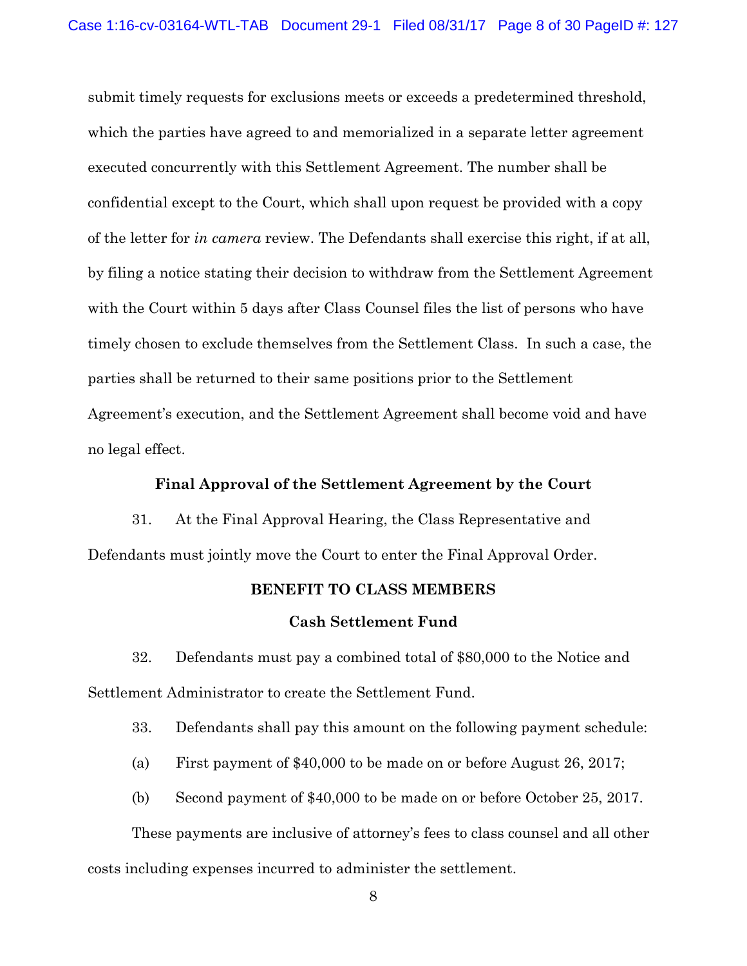submit timely requests for exclusions meets or exceeds a predetermined threshold, which the parties have agreed to and memorialized in a separate letter agreement executed concurrently with this Settlement Agreement. The number shall be confidential except to the Court, which shall upon request be provided with a copy of the letter for *in camera* review. The Defendants shall exercise this right, if at all, by filing a notice stating their decision to withdraw from the Settlement Agreement with the Court within 5 days after Class Counsel files the list of persons who have timely chosen to exclude themselves from the Settlement Class. In such a case, the parties shall be returned to their same positions prior to the Settlement Agreement's execution, and the Settlement Agreement shall become void and have no legal effect.

#### **Final Approval of the Settlement Agreement by the Court**

31. At the Final Approval Hearing, the Class Representative and Defendants must jointly move the Court to enter the Final Approval Order.

### **BENEFIT TO CLASS MEMBERS**

#### **Cash Settlement Fund**

32. Defendants must pay a combined total of \$80,000 to the Notice and Settlement Administrator to create the Settlement Fund.

33. Defendants shall pay this amount on the following payment schedule:

(a) First payment of \$40,000 to be made on or before August 26, 2017;

(b) Second payment of \$40,000 to be made on or before October 25, 2017.

These payments are inclusive of attorney's fees to class counsel and all other costs including expenses incurred to administer the settlement.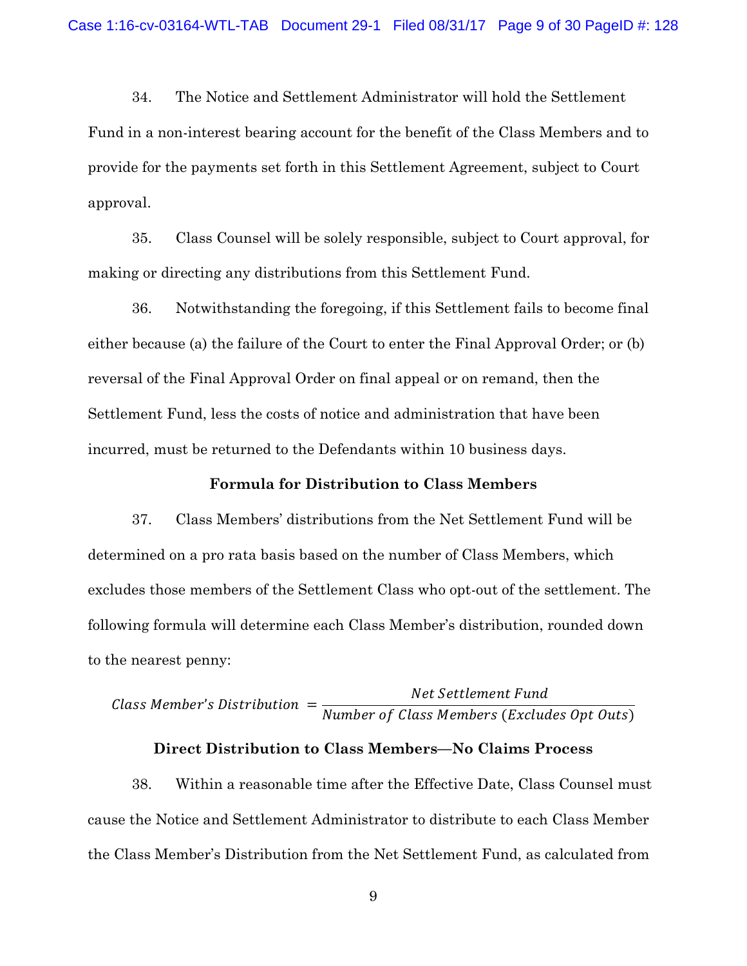34. The Notice and Settlement Administrator will hold the Settlement Fund in a non-interest bearing account for the benefit of the Class Members and to provide for the payments set forth in this Settlement Agreement, subject to Court approval.

35. Class Counsel will be solely responsible, subject to Court approval, for making or directing any distributions from this Settlement Fund.

36. Notwithstanding the foregoing, if this Settlement fails to become final either because (a) the failure of the Court to enter the Final Approval Order; or (b) reversal of the Final Approval Order on final appeal or on remand, then the Settlement Fund, less the costs of notice and administration that have been incurred, must be returned to the Defendants within 10 business days.

#### **Formula for Distribution to Class Members**

37. Class Members' distributions from the Net Settlement Fund will be determined on a pro rata basis based on the number of Class Members, which excludes those members of the Settlement Class who opt-out of the settlement. The following formula will determine each Class Member's distribution, rounded down to the nearest penny:

# Class Member's Distribution  $=\frac{Net \hspace{0.1cm} Set \hspace{0.1cm} I}{N-1}$ Number of Class Members (Excludes Opt Outs)

#### **Direct Distribution to Class Members—No Claims Process**

38. Within a reasonable time after the Effective Date, Class Counsel must cause the Notice and Settlement Administrator to distribute to each Class Member the Class Member's Distribution from the Net Settlement Fund, as calculated from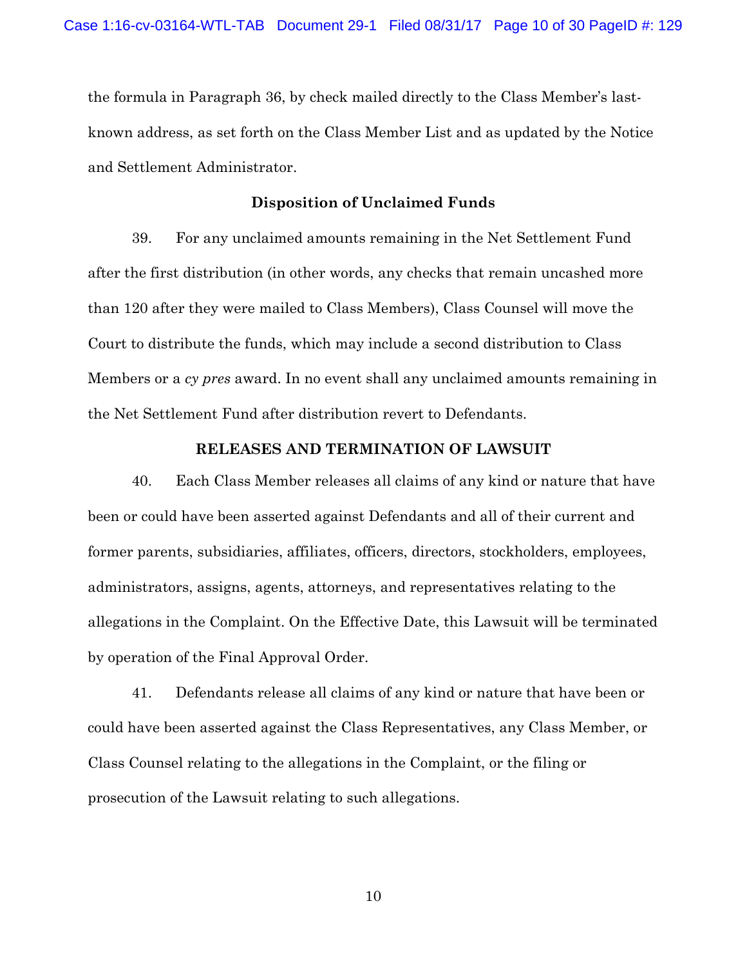the formula in Paragraph 36, by check mailed directly to the Class Member's lastknown address, as set forth on the Class Member List and as updated by the Notice and Settlement Administrator.

#### **Disposition of Unclaimed Funds**

39. For any unclaimed amounts remaining in the Net Settlement Fund after the first distribution (in other words, any checks that remain uncashed more than 120 after they were mailed to Class Members), Class Counsel will move the Court to distribute the funds, which may include a second distribution to Class Members or a *cy pres* award. In no event shall any unclaimed amounts remaining in the Net Settlement Fund after distribution revert to Defendants.

#### **RELEASES AND TERMINATION OF LAWSUIT**

40. Each Class Member releases all claims of any kind or nature that have been or could have been asserted against Defendants and all of their current and former parents, subsidiaries, affiliates, officers, directors, stockholders, employees, administrators, assigns, agents, attorneys, and representatives relating to the allegations in the Complaint. On the Effective Date, this Lawsuit will be terminated by operation of the Final Approval Order.

41. Defendants release all claims of any kind or nature that have been or could have been asserted against the Class Representatives, any Class Member, or Class Counsel relating to the allegations in the Complaint, or the filing or prosecution of the Lawsuit relating to such allegations.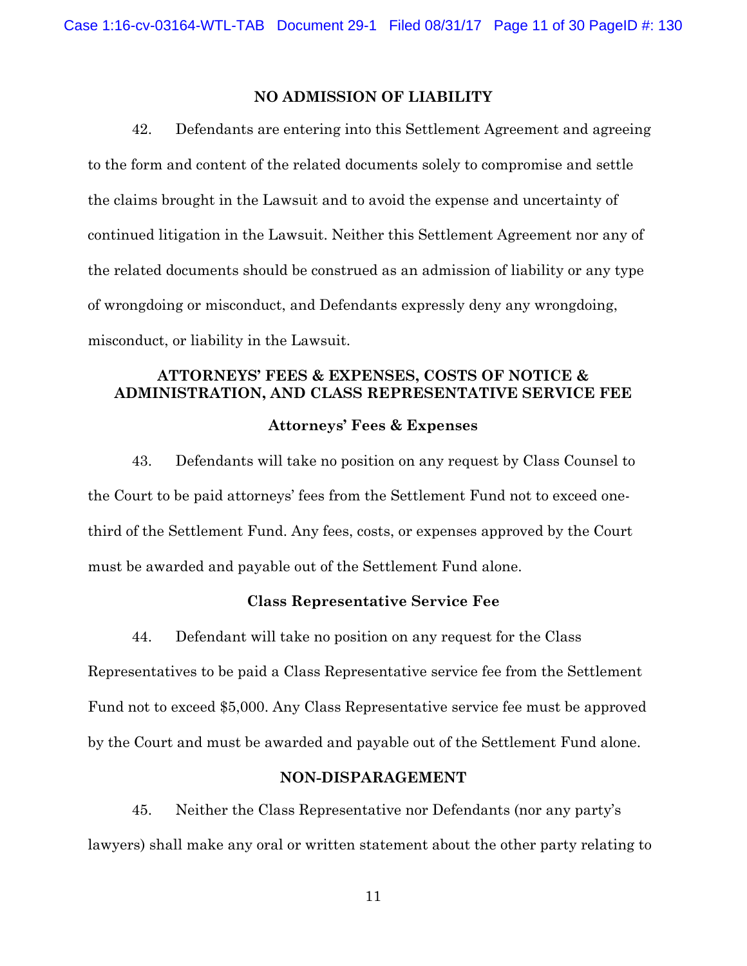# **NO ADMISSION OF LIABILITY**

42. Defendants are entering into this Settlement Agreement and agreeing to the form and content of the related documents solely to compromise and settle the claims brought in the Lawsuit and to avoid the expense and uncertainty of continued litigation in the Lawsuit. Neither this Settlement Agreement nor any of the related documents should be construed as an admission of liability or any type of wrongdoing or misconduct, and Defendants expressly deny any wrongdoing, misconduct, or liability in the Lawsuit.

# **ATTORNEYS' FEES & EXPENSES, COSTS OF NOTICE & ADMINISTRATION, AND CLASS REPRESENTATIVE SERVICE FEE Attorneys' Fees & Expenses**

43. Defendants will take no position on any request by Class Counsel to the Court to be paid attorneys' fees from the Settlement Fund not to exceed onethird of the Settlement Fund. Any fees, costs, or expenses approved by the Court must be awarded and payable out of the Settlement Fund alone.

#### **Class Representative Service Fee**

44. Defendant will take no position on any request for the Class Representatives to be paid a Class Representative service fee from the Settlement Fund not to exceed \$5,000. Any Class Representative service fee must be approved by the Court and must be awarded and payable out of the Settlement Fund alone.

#### **NON-DISPARAGEMENT**

45. Neither the Class Representative nor Defendants (nor any party's lawyers) shall make any oral or written statement about the other party relating to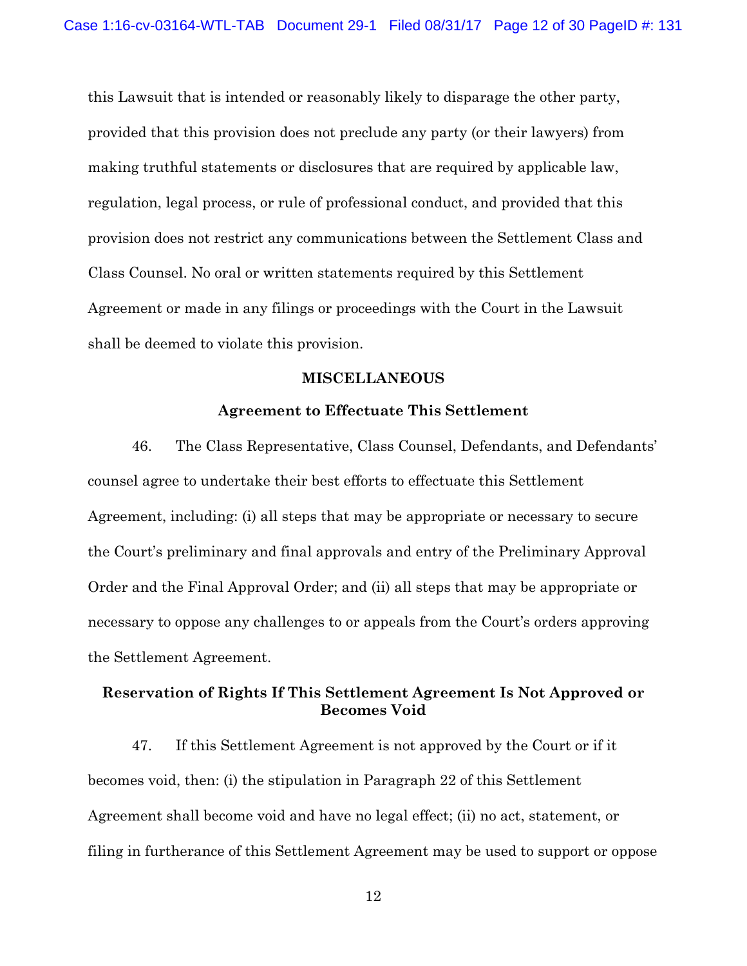this Lawsuit that is intended or reasonably likely to disparage the other party, provided that this provision does not preclude any party (or their lawyers) from making truthful statements or disclosures that are required by applicable law, regulation, legal process, or rule of professional conduct, and provided that this provision does not restrict any communications between the Settlement Class and Class Counsel. No oral or written statements required by this Settlement Agreement or made in any filings or proceedings with the Court in the Lawsuit shall be deemed to violate this provision.

#### **MISCELLANEOUS**

#### **Agreement to Effectuate This Settlement**

46. The Class Representative, Class Counsel, Defendants, and Defendants' counsel agree to undertake their best efforts to effectuate this Settlement Agreement, including: (i) all steps that may be appropriate or necessary to secure the Court's preliminary and final approvals and entry of the Preliminary Approval Order and the Final Approval Order; and (ii) all steps that may be appropriate or necessary to oppose any challenges to or appeals from the Court's orders approving the Settlement Agreement.

# **Reservation of Rights If This Settlement Agreement Is Not Approved or Becomes Void**

47. If this Settlement Agreement is not approved by the Court or if it becomes void, then: (i) the stipulation in Paragraph 22 of this Settlement Agreement shall become void and have no legal effect; (ii) no act, statement, or filing in furtherance of this Settlement Agreement may be used to support or oppose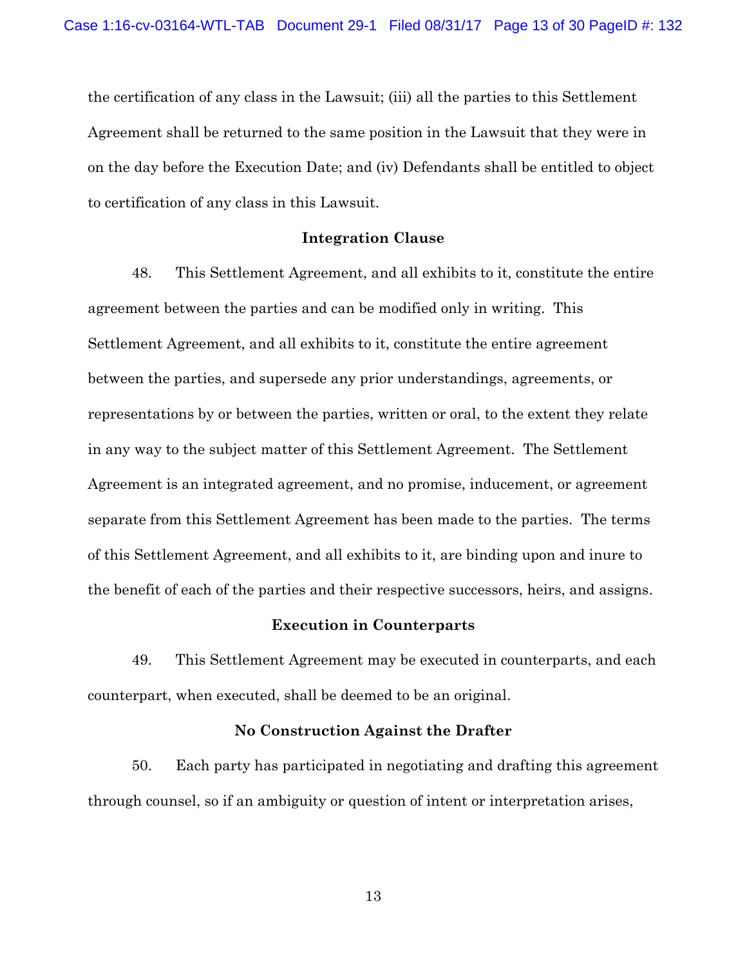the certification of any class in the Lawsuit; (iii) all the parties to this Settlement Agreement shall be returned to the same position in the Lawsuit that they were in on the day before the Execution Date; and (iv) Defendants shall be entitled to object to certification of any class in this Lawsuit.

#### **Integration Clause**

48. This Settlement Agreement, and all exhibits to it, constitute the entire agreement between the parties and can be modified only in writing. This Settlement Agreement, and all exhibits to it, constitute the entire agreement between the parties, and supersede any prior understandings, agreements, or representations by or between the parties, written or oral, to the extent they relate in any way to the subject matter of this Settlement Agreement. The Settlement Agreement is an integrated agreement, and no promise, inducement, or agreement separate from this Settlement Agreement has been made to the parties. The terms of this Settlement Agreement, and all exhibits to it, are binding upon and inure to the benefit of each of the parties and their respective successors, heirs, and assigns.

#### **Execution in Counterparts**

49. This Settlement Agreement may be executed in counterparts, and each counterpart, when executed, shall be deemed to be an original.

#### **No Construction Against the Drafter**

50. Each party has participated in negotiating and drafting this agreement through counsel, so if an ambiguity or question of intent or interpretation arises,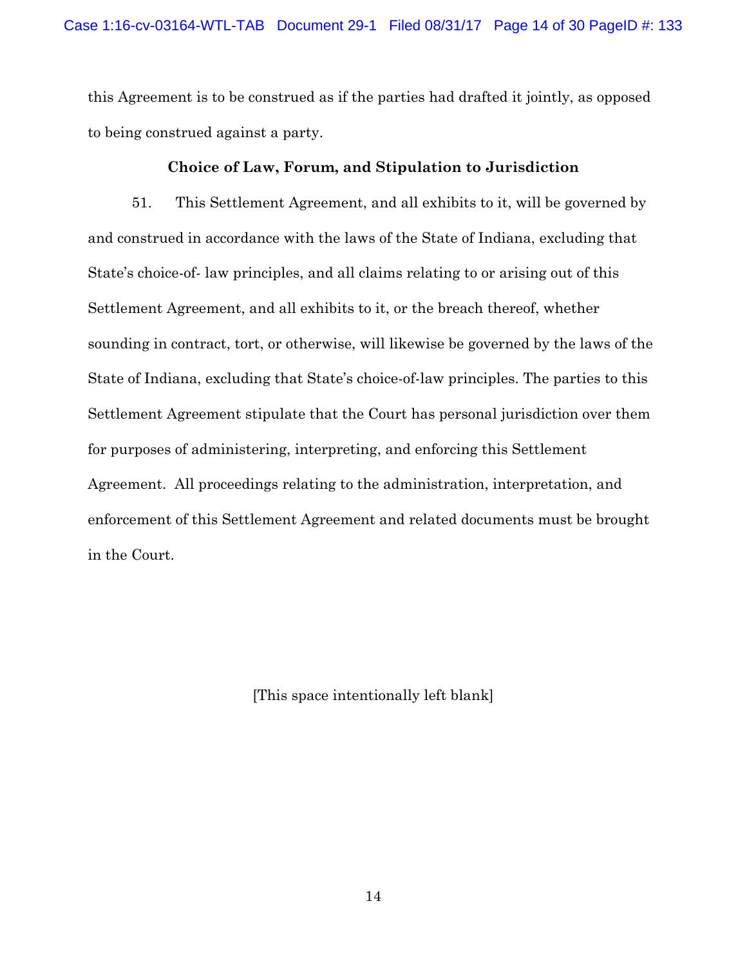this Agreement is to be construed as if the parties had drafted it jointly, as opposed to being construed against a party.

### **Choice of Law, Forum, and Stipulation to Jurisdiction**

51. This Settlement Agreement, and all exhibits to it, will be governed by and construed in accordance with the laws of the State of Indiana, excluding that State's choice-of- law principles, and all claims relating to or arising out of this Settlement Agreement, and all exhibits to it, or the breach thereof, whether sounding in contract, tort, or otherwise, will likewise be governed by the laws of the State of Indiana, excluding that State's choice-of-law principles. The parties to this Settlement Agreement stipulate that the Court has personal jurisdiction over them for purposes of administering, interpreting, and enforcing this Settlement Agreement. All proceedings relating to the administration, interpretation, and enforcement of this Settlement Agreement and related documents must be brought in the Court.

[This space intentionally left blank]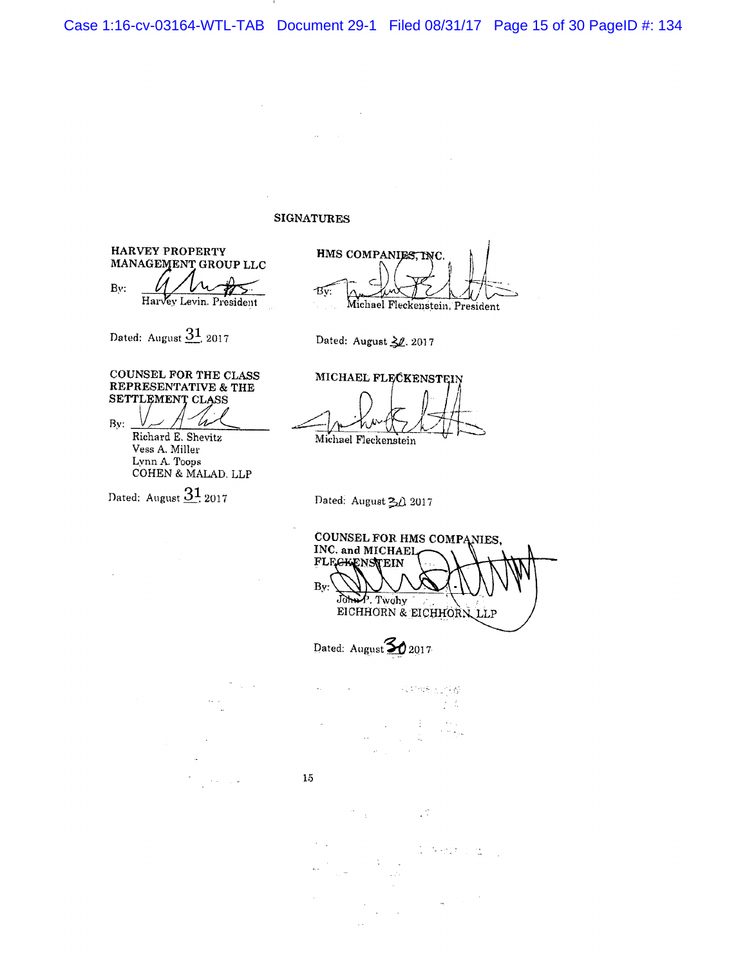Case 1:16-cv-03164-WTL-TAB Document 29-1 Filed 08/31/17 Page 15 of 30 PageID #: 134

#### **SIGNATURES**

**HARVEY PROPERTY** MANAGEMENT GROUP LLC

By: Harvey Levin. President

Dated: August 31, 2017

HMS COMPANIES, INC. Bv: Michael Fleckenstein, President

Dated: August 30, 2017

COUNSEL FOR THE CLASS REPRESENTATIVE & THE SETTLEMENT CLASS

By: Richard E. Shevitz Vess A. Miller Lynn A. Toops COHEN & MALAD. LLP

Dated: August  $31_{2017}$ 

MICHAEL FLECKENSTEIN

Michael Fleckenstein

Dated: August 30 2017

COUNSEL FOR HMS COMPANIES, INC. and MICHAEL FLEGKENSTEIN By: John P. Twohy<br>EICHHORN & EICHHORN LLP

Dated: August 30 2017

Consektivo 44 ÷.

VĆ.

 $15\,$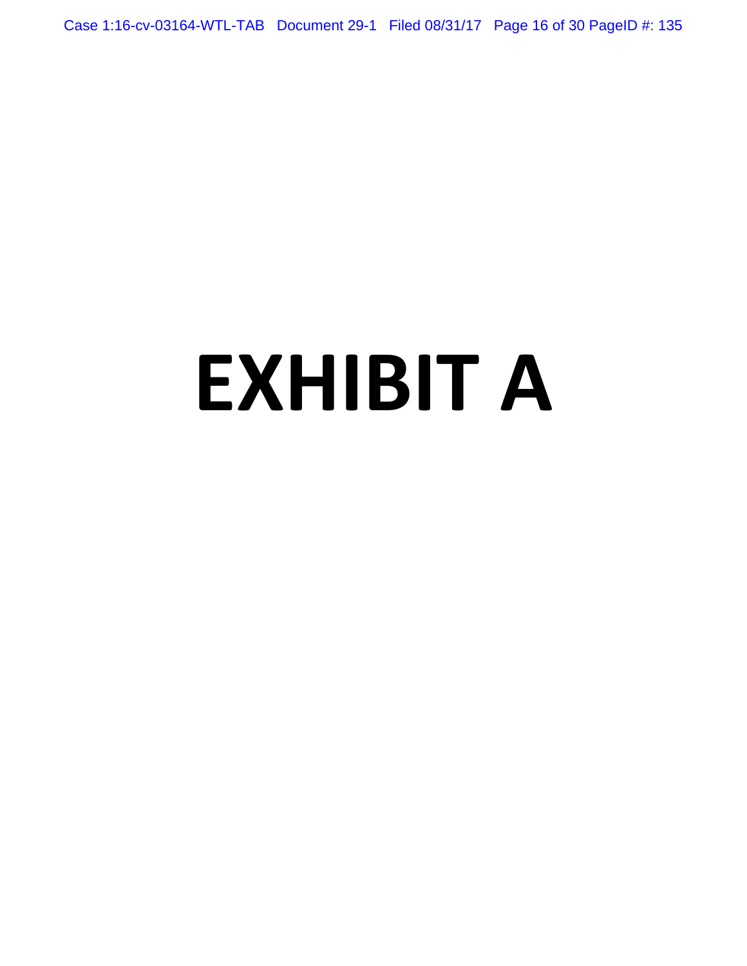Case 1:16-cv-03164-WTL-TAB Document 29-1 Filed 08/31/17 Page 16 of 30 PageID #: 135

# **EXHIBIT A**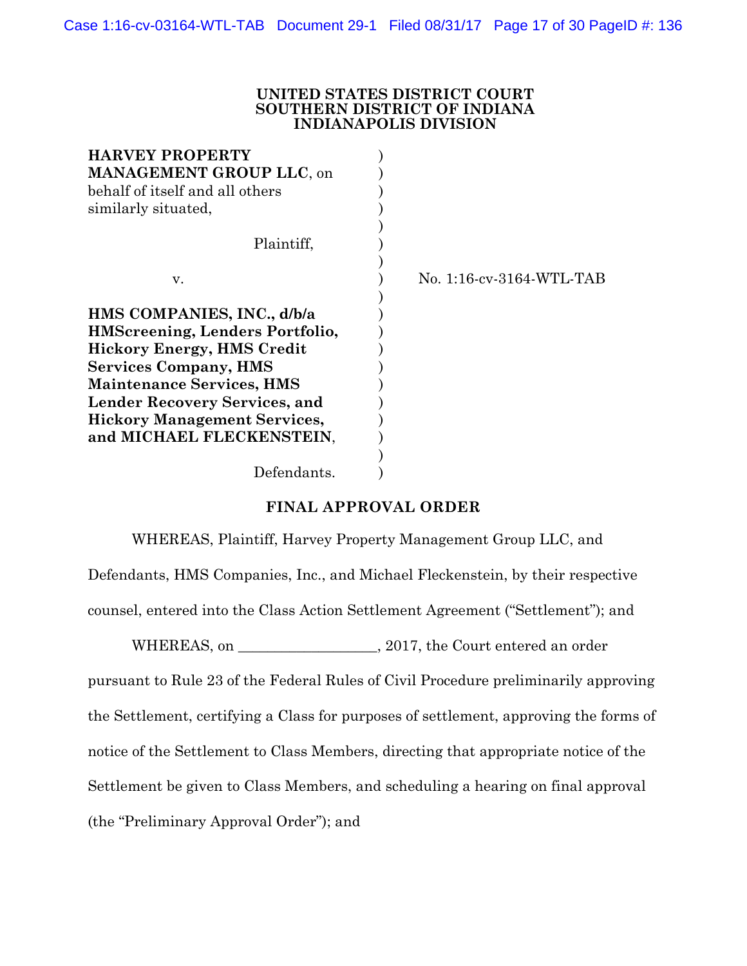#### **UNITED STATES DISTRICT COURT SOUTHERN DISTRICT OF INDIANA INDIANAPOLIS DIVISION**

| No. 1:16-cv-3164-WTL-TAB |
|--------------------------|
|                          |
|                          |
|                          |
|                          |
|                          |
|                          |
|                          |
|                          |
|                          |
|                          |
|                          |
|                          |

# **FINAL APPROVAL ORDER**

WHEREAS, Plaintiff, Harvey Property Management Group LLC, and Defendants, HMS Companies, Inc., and Michael Fleckenstein, by their respective

counsel, entered into the Class Action Settlement Agreement ("Settlement"); and

WHEREAS, on  $, 2017$ , the Court entered an order

pursuant to Rule 23 of the Federal Rules of Civil Procedure preliminarily approving

the Settlement, certifying a Class for purposes of settlement, approving the forms of

notice of the Settlement to Class Members, directing that appropriate notice of the

Settlement be given to Class Members, and scheduling a hearing on final approval

(the "Preliminary Approval Order"); and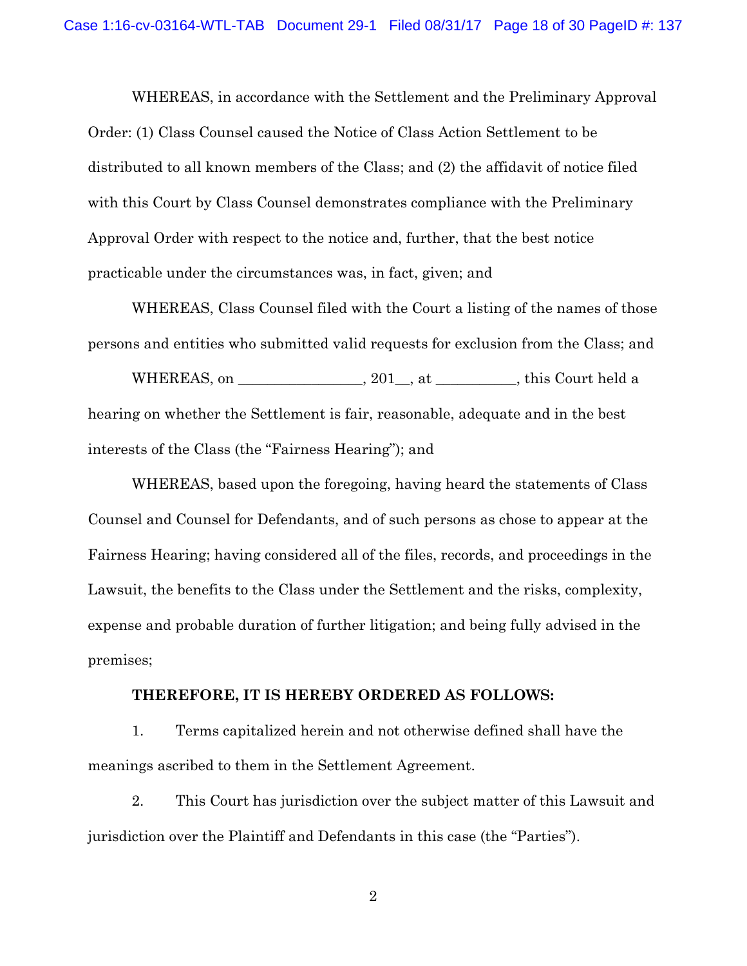WHEREAS, in accordance with the Settlement and the Preliminary Approval Order: (1) Class Counsel caused the Notice of Class Action Settlement to be distributed to all known members of the Class; and (2) the affidavit of notice filed with this Court by Class Counsel demonstrates compliance with the Preliminary Approval Order with respect to the notice and, further, that the best notice practicable under the circumstances was, in fact, given; and

WHEREAS, Class Counsel filed with the Court a listing of the names of those persons and entities who submitted valid requests for exclusion from the Class; and

WHEREAS, on \_\_\_\_\_\_\_\_\_\_\_\_\_\_, 201\_, at \_\_\_\_\_\_\_\_, this Court held a hearing on whether the Settlement is fair, reasonable, adequate and in the best interests of the Class (the "Fairness Hearing"); and

WHEREAS, based upon the foregoing, having heard the statements of Class Counsel and Counsel for Defendants, and of such persons as chose to appear at the Fairness Hearing; having considered all of the files, records, and proceedings in the Lawsuit, the benefits to the Class under the Settlement and the risks, complexity, expense and probable duration of further litigation; and being fully advised in the premises;

#### **THEREFORE, IT IS HEREBY ORDERED AS FOLLOWS:**

1. Terms capitalized herein and not otherwise defined shall have the meanings ascribed to them in the Settlement Agreement.

2. This Court has jurisdiction over the subject matter of this Lawsuit and jurisdiction over the Plaintiff and Defendants in this case (the "Parties").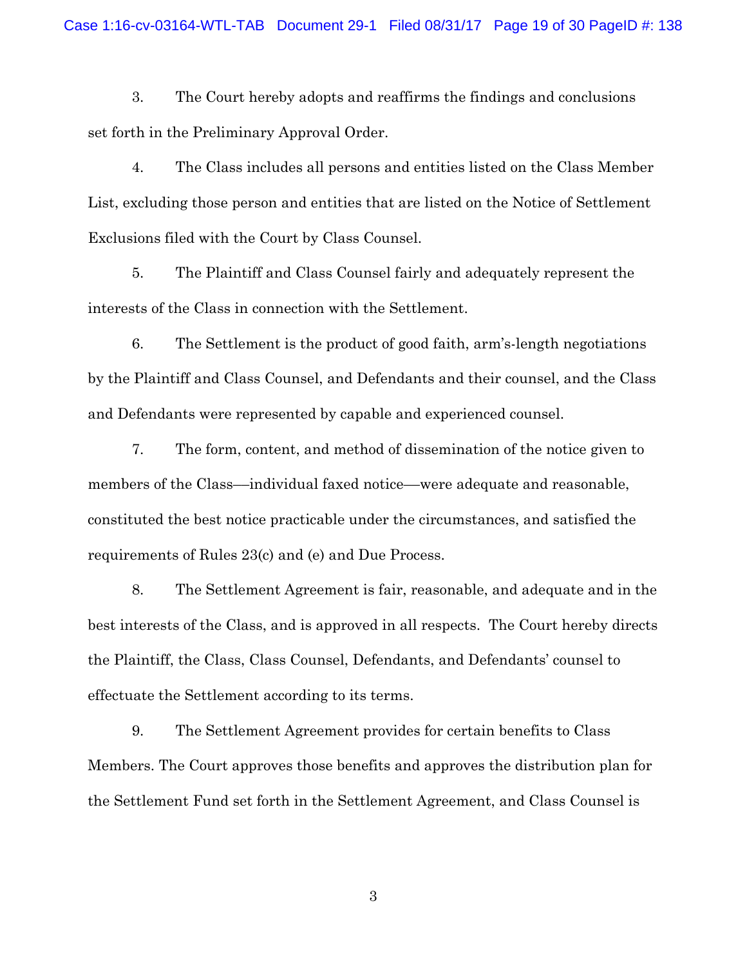3. The Court hereby adopts and reaffirms the findings and conclusions set forth in the Preliminary Approval Order.

4. The Class includes all persons and entities listed on the Class Member List, excluding those person and entities that are listed on the Notice of Settlement Exclusions filed with the Court by Class Counsel.

5. The Plaintiff and Class Counsel fairly and adequately represent the interests of the Class in connection with the Settlement.

6. The Settlement is the product of good faith, arm's-length negotiations by the Plaintiff and Class Counsel, and Defendants and their counsel, and the Class and Defendants were represented by capable and experienced counsel.

7. The form, content, and method of dissemination of the notice given to members of the Class––individual faxed notice––were adequate and reasonable, constituted the best notice practicable under the circumstances, and satisfied the requirements of Rules 23(c) and (e) and Due Process.

8. The Settlement Agreement is fair, reasonable, and adequate and in the best interests of the Class, and is approved in all respects. The Court hereby directs the Plaintiff, the Class, Class Counsel, Defendants, and Defendants' counsel to effectuate the Settlement according to its terms.

9. The Settlement Agreement provides for certain benefits to Class Members. The Court approves those benefits and approves the distribution plan for the Settlement Fund set forth in the Settlement Agreement, and Class Counsel is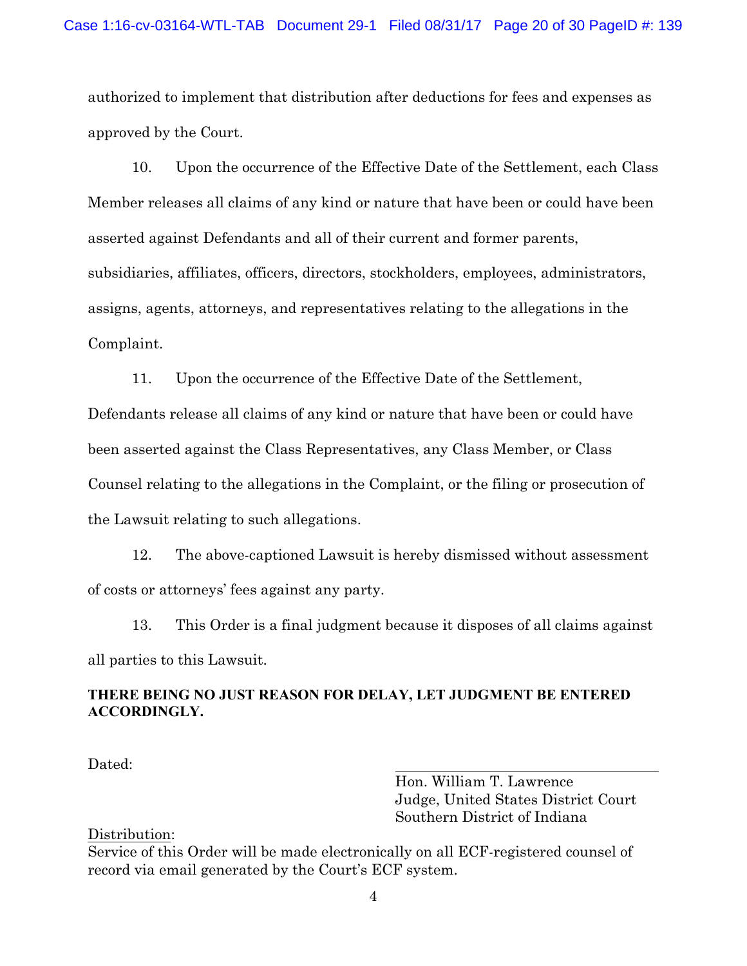authorized to implement that distribution after deductions for fees and expenses as approved by the Court.

10. Upon the occurrence of the Effective Date of the Settlement, each Class Member releases all claims of any kind or nature that have been or could have been asserted against Defendants and all of their current and former parents, subsidiaries, affiliates, officers, directors, stockholders, employees, administrators, assigns, agents, attorneys, and representatives relating to the allegations in the Complaint.

11. Upon the occurrence of the Effective Date of the Settlement,

Defendants release all claims of any kind or nature that have been or could have been asserted against the Class Representatives, any Class Member, or Class Counsel relating to the allegations in the Complaint, or the filing or prosecution of the Lawsuit relating to such allegations.

12. The above-captioned Lawsuit is hereby dismissed without assessment of costs or attorneys' fees against any party.

13. This Order is a final judgment because it disposes of all claims against all parties to this Lawsuit.

# **THERE BEING NO JUST REASON FOR DELAY, LET JUDGMENT BE ENTERED ACCORDINGLY.**

Dated:

Hon. William T. Lawrence Judge, United States District Court Southern District of Indiana

Distribution:

Service of this Order will be made electronically on all ECF-registered counsel of record via email generated by the Court's ECF system.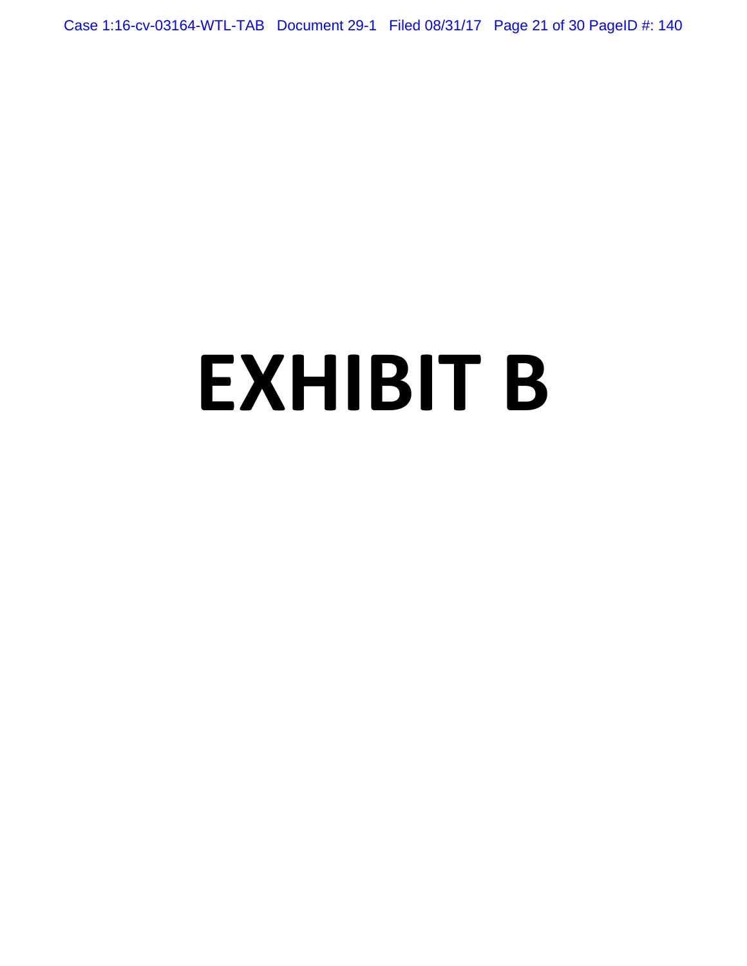Case 1:16-cv-03164-WTL-TAB Document 29-1 Filed 08/31/17 Page 21 of 30 PageID #: 140

# **EXHIBIT B**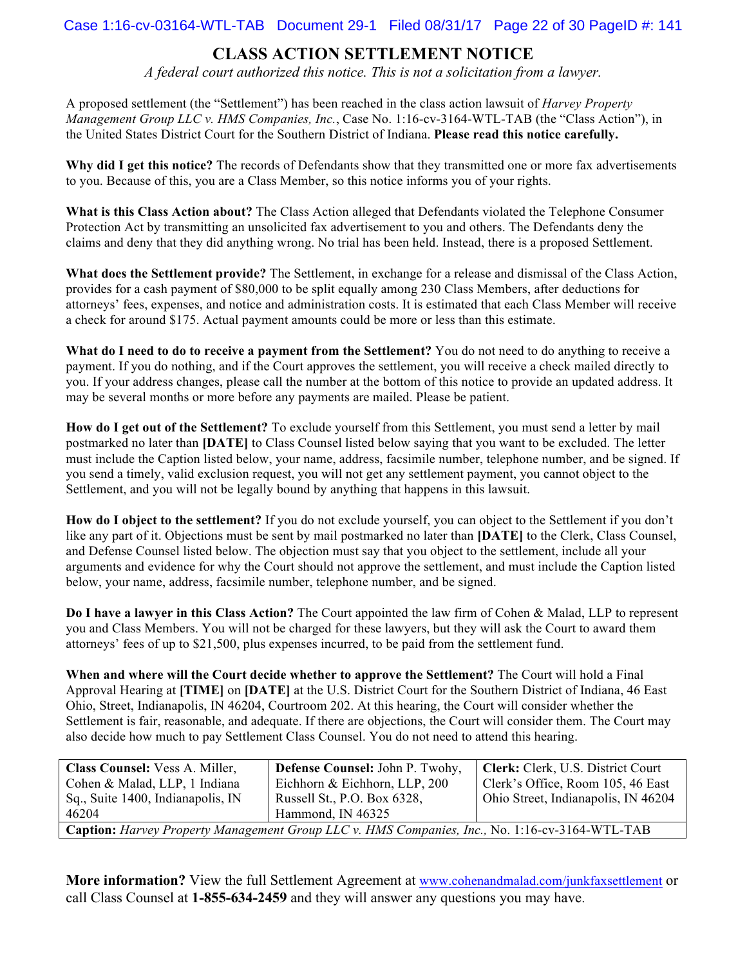### Case 1:16-cv-03164-WTL-TAB Document 29-1 Filed 08/31/17 Page 22 of 30 PageID #: 141

# **CLASS ACTION SETTLEMENT NOTICE**

*A federal court authorized this notice. This is not a solicitation from a lawyer.*

A proposed settlement (the "Settlement") has been reached in the class action lawsuit of *Harvey Property Management Group LLC v. HMS Companies, Inc.*, Case No. 1:16-cv-3164-WTL-TAB (the "Class Action"), in the United States District Court for the Southern District of Indiana. **Please read this notice carefully.**

**Why did I get this notice?** The records of Defendants show that they transmitted one or more fax advertisements to you. Because of this, you are a Class Member, so this notice informs you of your rights.

**What is this Class Action about?** The Class Action alleged that Defendants violated the Telephone Consumer Protection Act by transmitting an unsolicited fax advertisement to you and others. The Defendants deny the claims and deny that they did anything wrong. No trial has been held. Instead, there is a proposed Settlement.

**What does the Settlement provide?** The Settlement, in exchange for a release and dismissal of the Class Action, provides for a cash payment of \$80,000 to be split equally among 230 Class Members, after deductions for attorneys' fees, expenses, and notice and administration costs. It is estimated that each Class Member will receive a check for around \$175. Actual payment amounts could be more or less than this estimate.

**What do I need to do to receive a payment from the Settlement?** You do not need to do anything to receive a payment. If you do nothing, and if the Court approves the settlement, you will receive a check mailed directly to you. If your address changes, please call the number at the bottom of this notice to provide an updated address. It may be several months or more before any payments are mailed. Please be patient.

**How do I get out of the Settlement?** To exclude yourself from this Settlement, you must send a letter by mail postmarked no later than **[DATE]** to Class Counsel listed below saying that you want to be excluded. The letter must include the Caption listed below, your name, address, facsimile number, telephone number, and be signed. If you send a timely, valid exclusion request, you will not get any settlement payment, you cannot object to the Settlement, and you will not be legally bound by anything that happens in this lawsuit.

**How do I object to the settlement?** If you do not exclude yourself, you can object to the Settlement if you don't like any part of it. Objections must be sent by mail postmarked no later than **[DATE]** to the Clerk, Class Counsel, and Defense Counsel listed below. The objection must say that you object to the settlement, include all your arguments and evidence for why the Court should not approve the settlement, and must include the Caption listed below, your name, address, facsimile number, telephone number, and be signed.

**Do I have a lawyer in this Class Action?** The Court appointed the law firm of Cohen & Malad, LLP to represent you and Class Members. You will not be charged for these lawyers, but they will ask the Court to award them attorneys' fees of up to \$21,500, plus expenses incurred, to be paid from the settlement fund.

**When and where will the Court decide whether to approve the Settlement?** The Court will hold a Final Approval Hearing at **[TIME]** on **[DATE]** at the U.S. District Court for the Southern District of Indiana, 46 East Ohio, Street, Indianapolis, IN 46204, Courtroom 202. At this hearing, the Court will consider whether the Settlement is fair, reasonable, and adequate. If there are objections, the Court will consider them. The Court may also decide how much to pay Settlement Class Counsel. You do not need to attend this hearing.

| Class Counsel: Vess A. Miller,                                                                 | Defense Counsel: John P. Twohy, | Clerk: Clerk, U.S. District Court   |  |
|------------------------------------------------------------------------------------------------|---------------------------------|-------------------------------------|--|
| Cohen & Malad, LLP, 1 Indiana                                                                  | Eichhorn & Eichhorn, LLP, 200   | Clerk's Office, Room 105, 46 East   |  |
| Sq., Suite 1400, Indianapolis, IN                                                              | Russell St., P.O. Box 6328,     | Ohio Street, Indianapolis, IN 46204 |  |
| 46204                                                                                          | Hammond, IN 46325               |                                     |  |
| Caption: Harvey Property Management Group LLC v. HMS Companies, Inc., No. 1:16-cv-3164-WTL-TAB |                                 |                                     |  |

**More information?** View the full Settlement Agreement at www.cohenandmalad.com/junkfaxsettlement or call Class Counsel at **1-855-634-2459** and they will answer any questions you may have.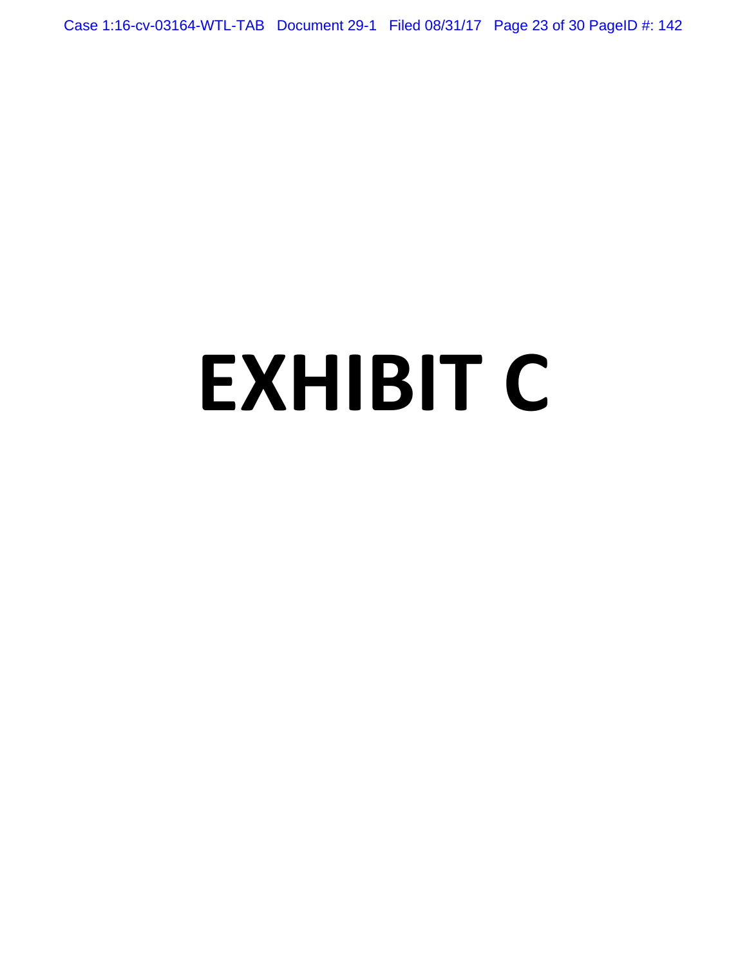Case 1:16-cv-03164-WTL-TAB Document 29-1 Filed 08/31/17 Page 23 of 30 PageID #: 142

# **EXHIBIT C**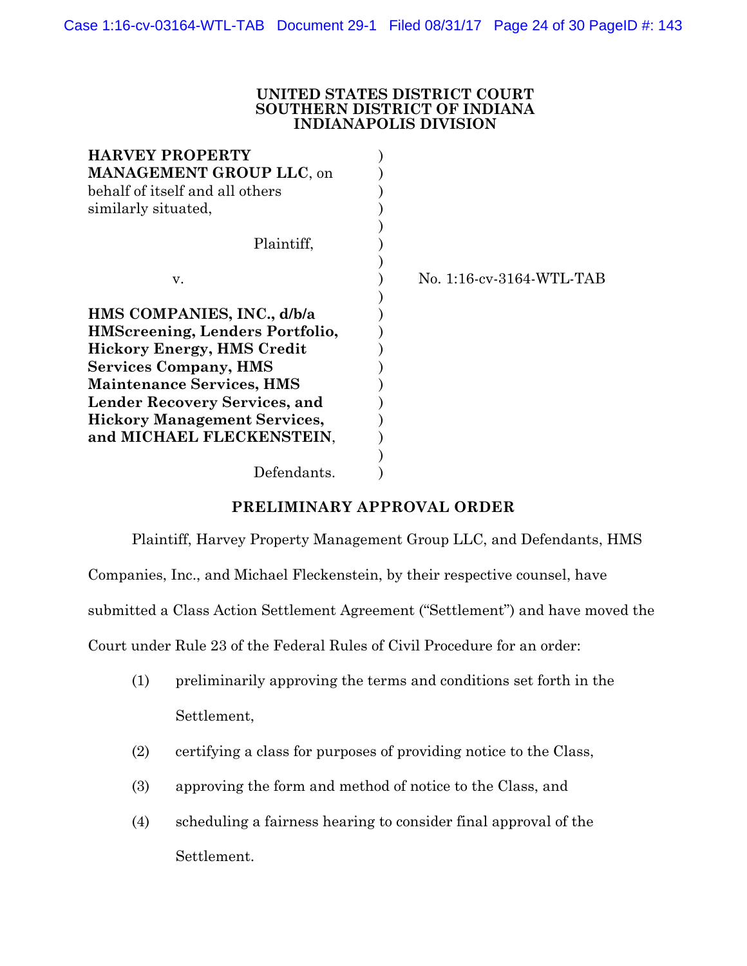#### **UNITED STATES DISTRICT COURT SOUTHERN DISTRICT OF INDIANA INDIANAPOLIS DIVISION**

| No. 1:16-cv-3164-WTL-TAB |
|--------------------------|
|                          |
|                          |
|                          |
|                          |
|                          |
|                          |
|                          |
|                          |
|                          |
|                          |
|                          |
|                          |

# **PRELIMINARY APPROVAL ORDER**

Plaintiff, Harvey Property Management Group LLC, and Defendants, HMS

Companies, Inc., and Michael Fleckenstein, by their respective counsel, have

submitted a Class Action Settlement Agreement ("Settlement") and have moved the

Court under Rule 23 of the Federal Rules of Civil Procedure for an order:

- (1) preliminarily approving the terms and conditions set forth in the Settlement,
- (2) certifying a class for purposes of providing notice to the Class,
- (3) approving the form and method of notice to the Class, and
- (4) scheduling a fairness hearing to consider final approval of the Settlement.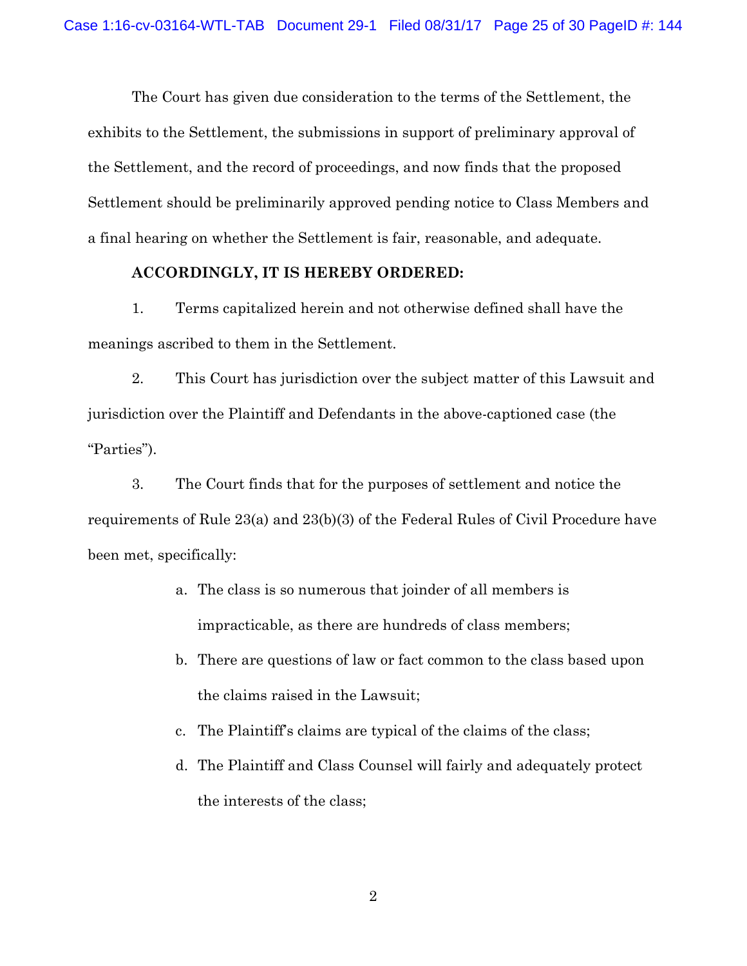The Court has given due consideration to the terms of the Settlement, the exhibits to the Settlement, the submissions in support of preliminary approval of the Settlement, and the record of proceedings, and now finds that the proposed Settlement should be preliminarily approved pending notice to Class Members and a final hearing on whether the Settlement is fair, reasonable, and adequate.

#### **ACCORDINGLY, IT IS HEREBY ORDERED:**

1. Terms capitalized herein and not otherwise defined shall have the meanings ascribed to them in the Settlement.

2. This Court has jurisdiction over the subject matter of this Lawsuit and jurisdiction over the Plaintiff and Defendants in the above-captioned case (the "Parties").

3. The Court finds that for the purposes of settlement and notice the requirements of Rule 23(a) and 23(b)(3) of the Federal Rules of Civil Procedure have been met, specifically:

- a. The class is so numerous that joinder of all members is impracticable, as there are hundreds of class members;
- b. There are questions of law or fact common to the class based upon the claims raised in the Lawsuit;
- c. The Plaintiff's claims are typical of the claims of the class;
- d. The Plaintiff and Class Counsel will fairly and adequately protect the interests of the class;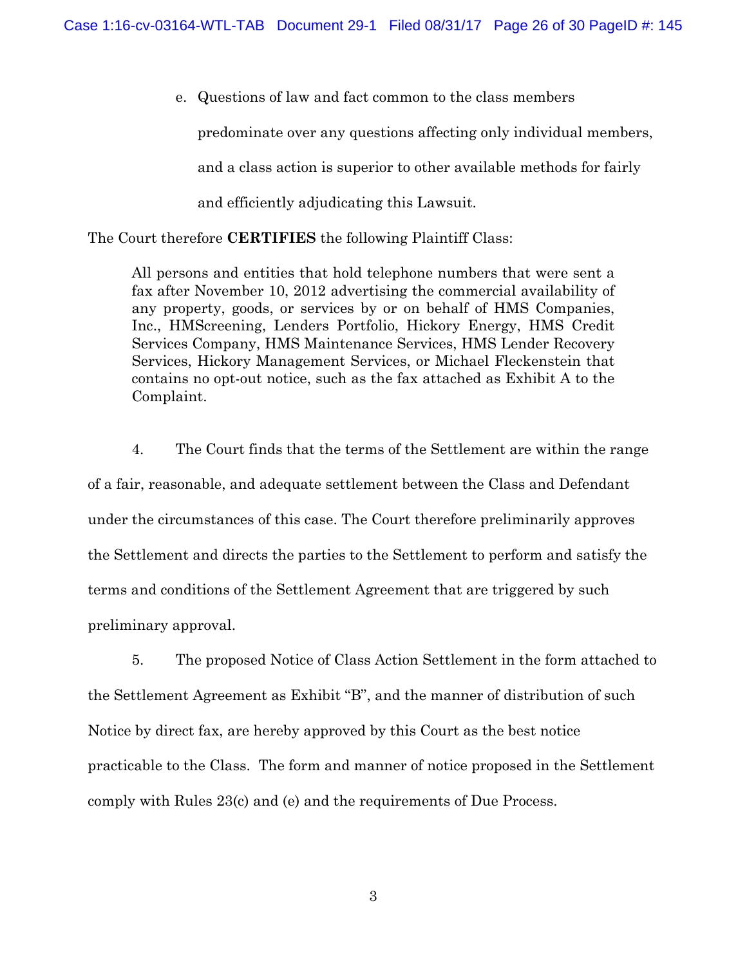e. Questions of law and fact common to the class members predominate over any questions affecting only individual members, and a class action is superior to other available methods for fairly and efficiently adjudicating this Lawsuit.

The Court therefore **CERTIFIES** the following Plaintiff Class:

All persons and entities that hold telephone numbers that were sent a fax after November 10, 2012 advertising the commercial availability of any property, goods, or services by or on behalf of HMS Companies, Inc., HMScreening, Lenders Portfolio, Hickory Energy, HMS Credit Services Company, HMS Maintenance Services, HMS Lender Recovery Services, Hickory Management Services, or Michael Fleckenstein that contains no opt-out notice, such as the fax attached as Exhibit A to the Complaint.

4. The Court finds that the terms of the Settlement are within the range of a fair, reasonable, and adequate settlement between the Class and Defendant under the circumstances of this case. The Court therefore preliminarily approves the Settlement and directs the parties to the Settlement to perform and satisfy the terms and conditions of the Settlement Agreement that are triggered by such preliminary approval.

5. The proposed Notice of Class Action Settlement in the form attached to the Settlement Agreement as Exhibit "B", and the manner of distribution of such Notice by direct fax, are hereby approved by this Court as the best notice practicable to the Class. The form and manner of notice proposed in the Settlement comply with Rules 23(c) and (e) and the requirements of Due Process.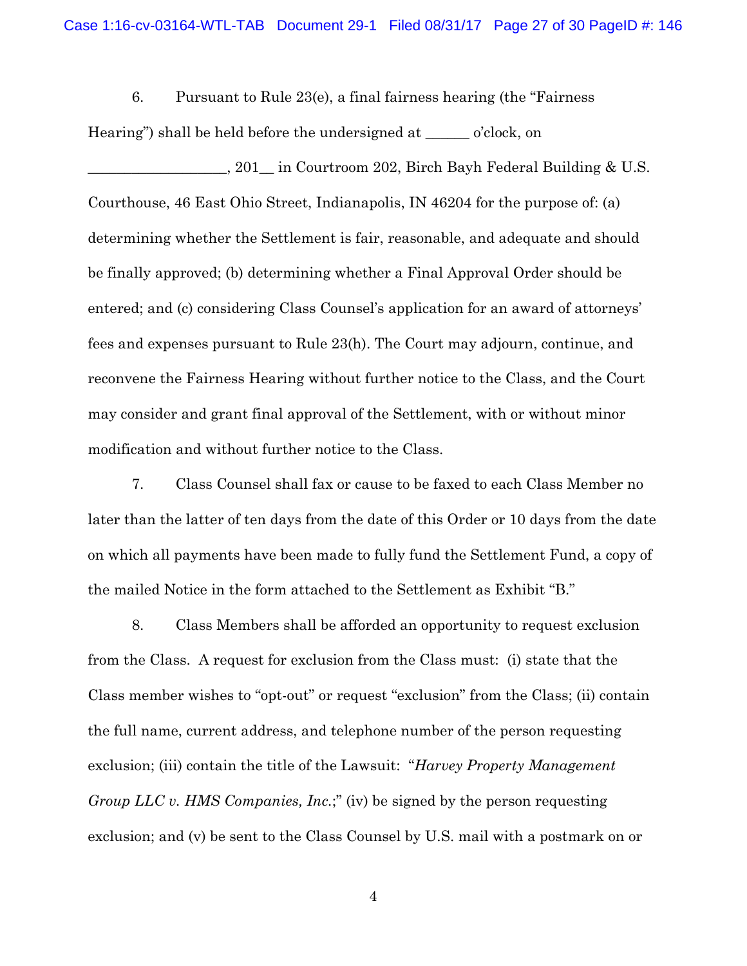6. Pursuant to Rule 23(e), a final fairness hearing (the "Fairness Hearing") shall be held before the undersigned at \_\_\_\_\_\_ o'clock, on

1. 201 in Courtroom 202, Birch Bayh Federal Building & U.S. Courthouse, 46 East Ohio Street, Indianapolis, IN 46204 for the purpose of: (a) determining whether the Settlement is fair, reasonable, and adequate and should be finally approved; (b) determining whether a Final Approval Order should be entered; and (c) considering Class Counsel's application for an award of attorneys' fees and expenses pursuant to Rule 23(h). The Court may adjourn, continue, and reconvene the Fairness Hearing without further notice to the Class, and the Court may consider and grant final approval of the Settlement, with or without minor modification and without further notice to the Class.

7. Class Counsel shall fax or cause to be faxed to each Class Member no later than the latter of ten days from the date of this Order or 10 days from the date on which all payments have been made to fully fund the Settlement Fund, a copy of the mailed Notice in the form attached to the Settlement as Exhibit "B."

8. Class Members shall be afforded an opportunity to request exclusion from the Class. A request for exclusion from the Class must: (i) state that the Class member wishes to "opt-out" or request "exclusion" from the Class; (ii) contain the full name, current address, and telephone number of the person requesting exclusion; (iii) contain the title of the Lawsuit: "*Harvey Property Management Group LLC v. HMS Companies, Inc.*;" (iv) be signed by the person requesting exclusion; and (v) be sent to the Class Counsel by U.S. mail with a postmark on or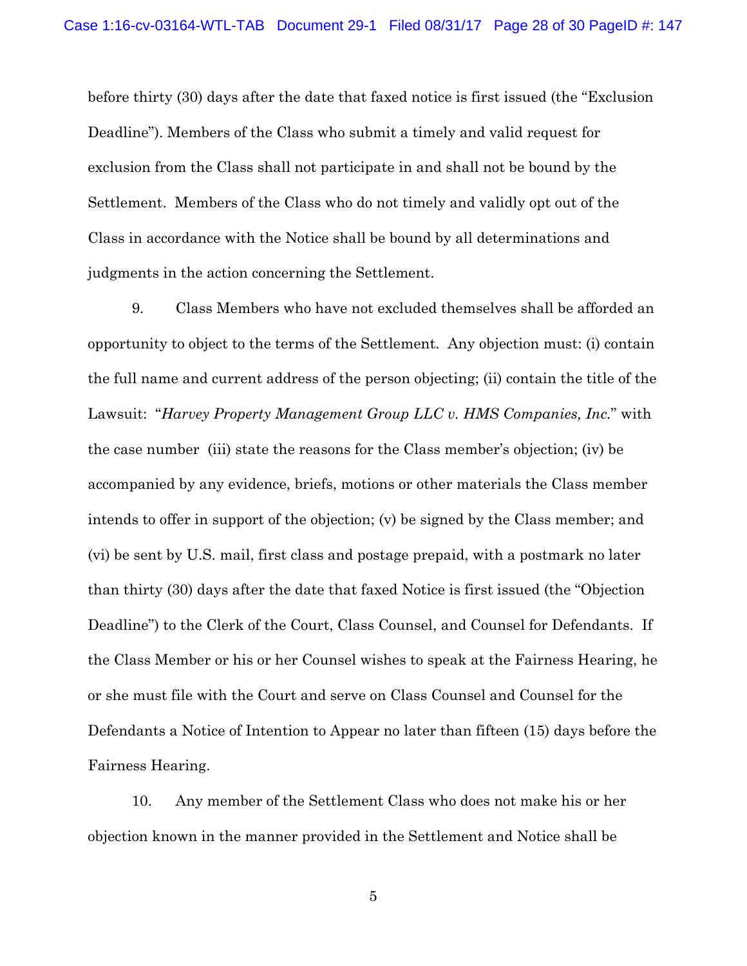before thirty (30) days after the date that faxed notice is first issued (the "Exclusion Deadline"). Members of the Class who submit a timely and valid request for exclusion from the Class shall not participate in and shall not be bound by the Settlement. Members of the Class who do not timely and validly opt out of the Class in accordance with the Notice shall be bound by all determinations and judgments in the action concerning the Settlement.

9. Class Members who have not excluded themselves shall be afforded an opportunity to object to the terms of the Settlement. Any objection must: (i) contain the full name and current address of the person objecting; (ii) contain the title of the Lawsuit: "*Harvey Property Management Group LLC v. HMS Companies, Inc.*" with the case number (iii) state the reasons for the Class member's objection; (iv) be accompanied by any evidence, briefs, motions or other materials the Class member intends to offer in support of the objection; (v) be signed by the Class member; and (vi) be sent by U.S. mail, first class and postage prepaid, with a postmark no later than thirty (30) days after the date that faxed Notice is first issued (the "Objection Deadline") to the Clerk of the Court, Class Counsel, and Counsel for Defendants. If the Class Member or his or her Counsel wishes to speak at the Fairness Hearing, he or she must file with the Court and serve on Class Counsel and Counsel for the Defendants a Notice of Intention to Appear no later than fifteen (15) days before the Fairness Hearing.

10. Any member of the Settlement Class who does not make his or her objection known in the manner provided in the Settlement and Notice shall be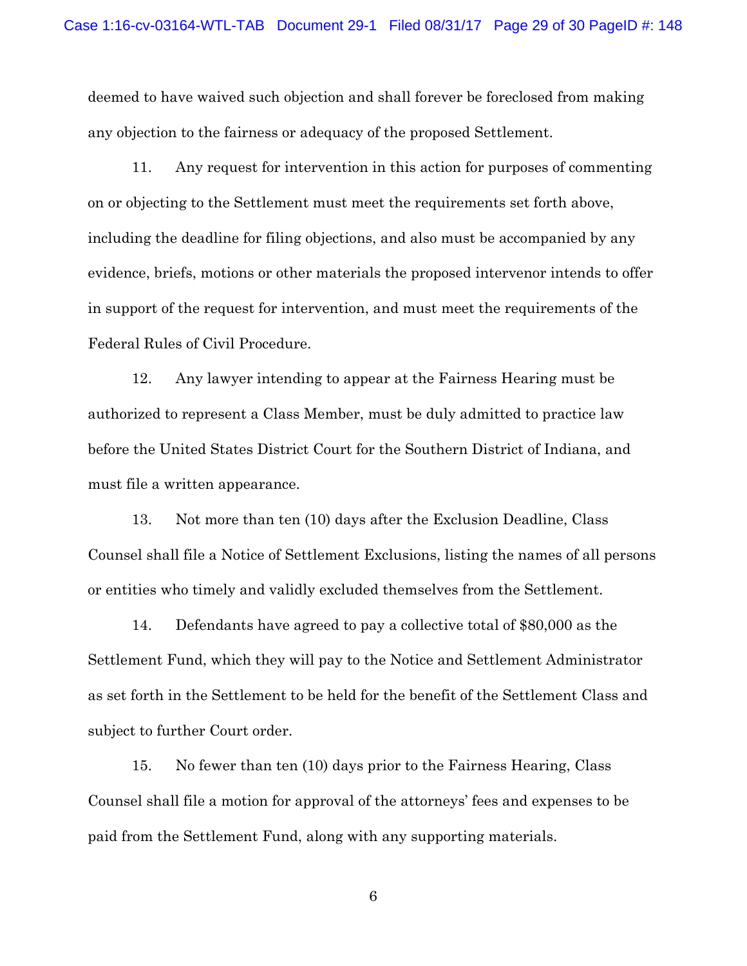deemed to have waived such objection and shall forever be foreclosed from making any objection to the fairness or adequacy of the proposed Settlement.

11. Any request for intervention in this action for purposes of commenting on or objecting to the Settlement must meet the requirements set forth above, including the deadline for filing objections, and also must be accompanied by any evidence, briefs, motions or other materials the proposed intervenor intends to offer in support of the request for intervention, and must meet the requirements of the Federal Rules of Civil Procedure.

12. Any lawyer intending to appear at the Fairness Hearing must be authorized to represent a Class Member, must be duly admitted to practice law before the United States District Court for the Southern District of Indiana, and must file a written appearance.

13. Not more than ten (10) days after the Exclusion Deadline, Class Counsel shall file a Notice of Settlement Exclusions, listing the names of all persons or entities who timely and validly excluded themselves from the Settlement.

14. Defendants have agreed to pay a collective total of \$80,000 as the Settlement Fund, which they will pay to the Notice and Settlement Administrator as set forth in the Settlement to be held for the benefit of the Settlement Class and subject to further Court order.

15. No fewer than ten (10) days prior to the Fairness Hearing, Class Counsel shall file a motion for approval of the attorneys' fees and expenses to be paid from the Settlement Fund, along with any supporting materials.